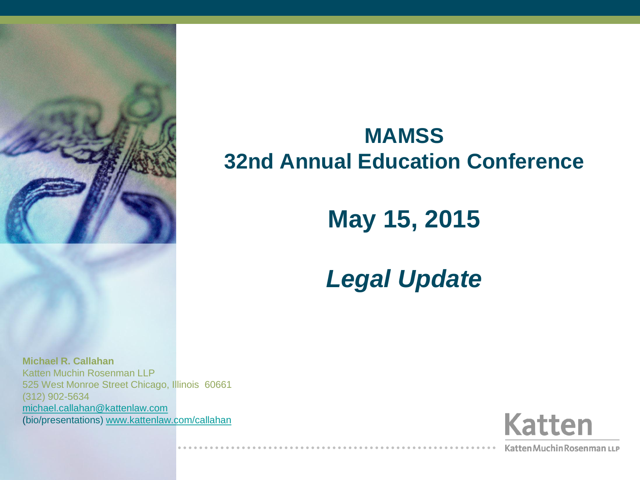

#### **MAMSS 32nd Annual Education Conference**

#### **May 15, 2015**

#### *Legal Update*

**Michael R. Callahan** Katten Muchin Rosenman LLP 525 West Monroe Street Chicago, Illinois 60661 (312) 902-5634 [michael.callahan@kattenlaw.com](mailto:michael.callahan@kattenlaw.com) (bio/presentations) [www.kattenlaw.com/callahan](http://www.kattenlaw.com/callahan)



Katten Muchin Rosenman LLP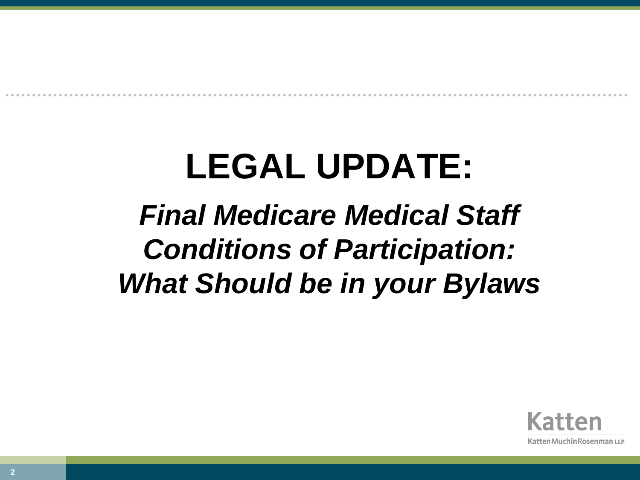# **LEGAL UPDATE:**

#### *Final Medicare Medical Staff Conditions of Participation: What Should be in your Bylaws*

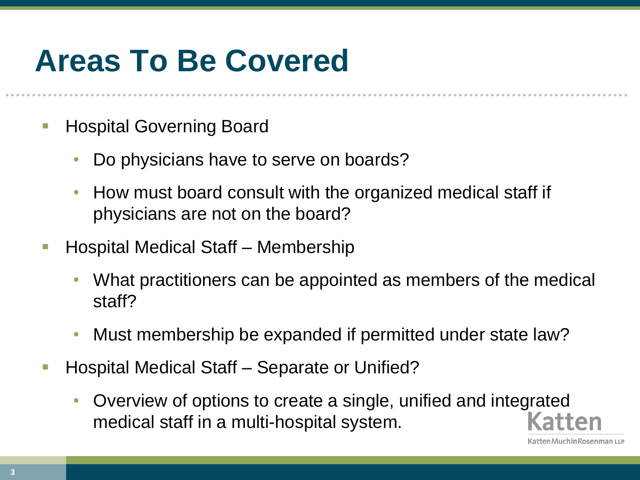#### **Areas To Be Covered**

- Hospital Governing Board
	- Do physicians have to serve on boards?
	- How must board consult with the organized medical staff if physicians are not on the board?
- Hospital Medical Staff Membership
	- What practitioners can be appointed as members of the medical staff?
	- Must membership be expanded if permitted under state law?
- Hospital Medical Staff Separate or Unified?
	- Overview of options to create a single, unified and integrated medical staff in a multi-hospital system.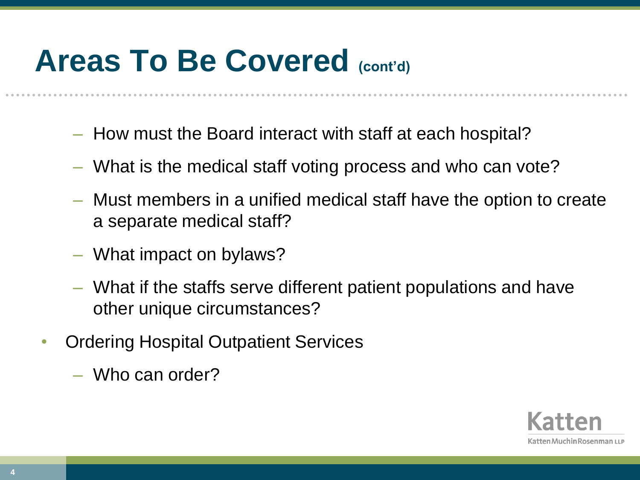#### **Areas To Be Covered (cont'd)**

- How must the Board interact with staff at each hospital?
- What is the medical staff voting process and who can vote?
- Must members in a unified medical staff have the option to create a separate medical staff?
- What impact on bylaws?
- What if the staffs serve different patient populations and have other unique circumstances?
- Ordering Hospital Outpatient Services
	- Who can order?

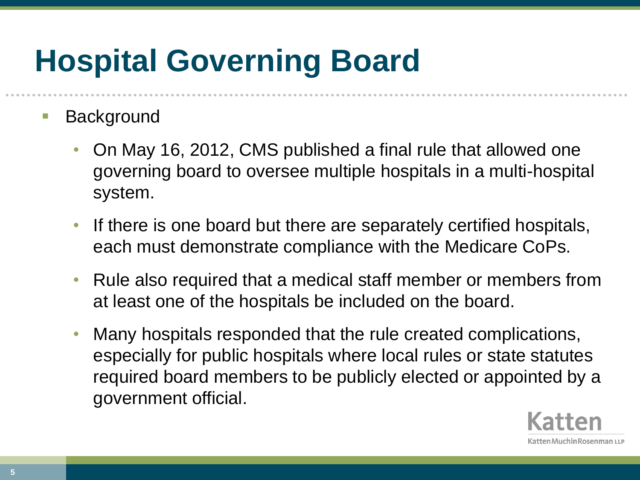# **Hospital Governing Board**

#### **Background**

- On May 16, 2012, CMS published a final rule that allowed one governing board to oversee multiple hospitals in a multi-hospital system.
- If there is one board but there are separately certified hospitals, each must demonstrate compliance with the Medicare CoPs.
- Rule also required that a medical staff member or members from at least one of the hospitals be included on the board.
- Many hospitals responded that the rule created complications, especially for public hospitals where local rules or state statutes required board members to be publicly elected or appointed by a government official.

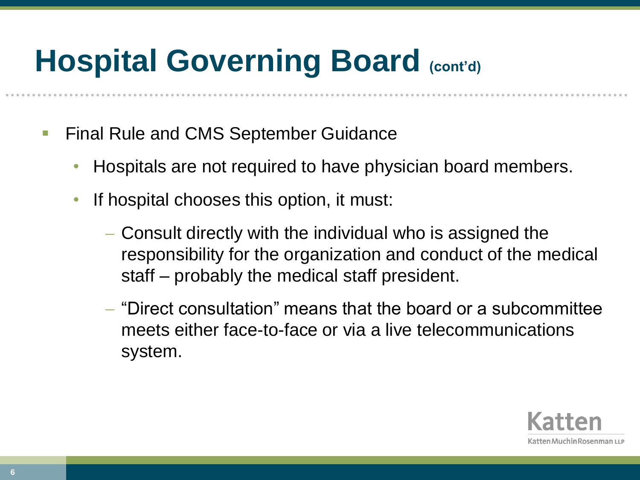- **Final Rule and CMS September Guidance** 
	- Hospitals are not required to have physician board members.
	- If hospital chooses this option, it must:
		- Consult directly with the individual who is assigned the responsibility for the organization and conduct of the medical staff – probably the medical staff president.
		- "Direct consultation" means that the board or a subcommittee meets either face-to-face or via a live telecommunications system.

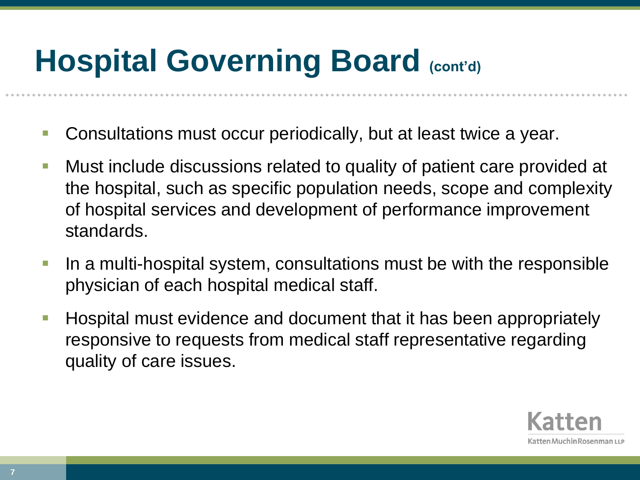- Consultations must occur periodically, but at least twice a year.
- Must include discussions related to quality of patient care provided at the hospital, such as specific population needs, scope and complexity of hospital services and development of performance improvement standards.
- **If a multi-hospital system, consultations must be with the responsible** physician of each hospital medical staff.
- **Hospital must evidence and document that it has been appropriately** responsive to requests from medical staff representative regarding quality of care issues.

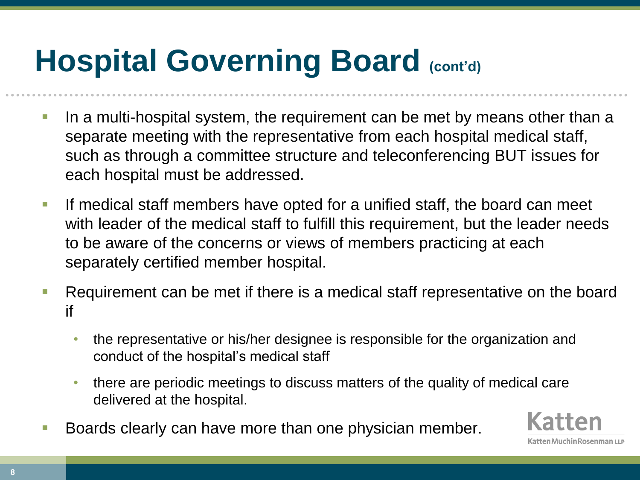- In a multi-hospital system, the requirement can be met by means other than a separate meeting with the representative from each hospital medical staff, such as through a committee structure and teleconferencing BUT issues for each hospital must be addressed.
- If medical staff members have opted for a unified staff, the board can meet with leader of the medical staff to fulfill this requirement, but the leader needs to be aware of the concerns or views of members practicing at each separately certified member hospital.
- Requirement can be met if there is a medical staff representative on the board if
	- the representative or his/her designee is responsible for the organization and conduct of the hospital's medical staff
	- there are periodic meetings to discuss matters of the quality of medical care delivered at the hospital.
- Boards clearly can have more than one physician member.

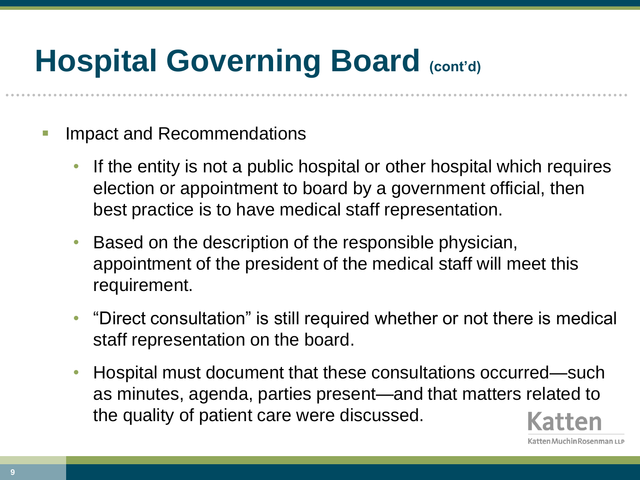- Impact and Recommendations
	- If the entity is not a public hospital or other hospital which requires election or appointment to board by a government official, then best practice is to have medical staff representation.
	- Based on the description of the responsible physician, appointment of the president of the medical staff will meet this requirement.
	- "Direct consultation" is still required whether or not there is medical staff representation on the board.
	- Hospital must document that these consultations occurred—such as minutes, agenda, parties present—and that matters related to the quality of patient care were discussed.

atten Muchin Rosenman ۱۱ ۱

**9**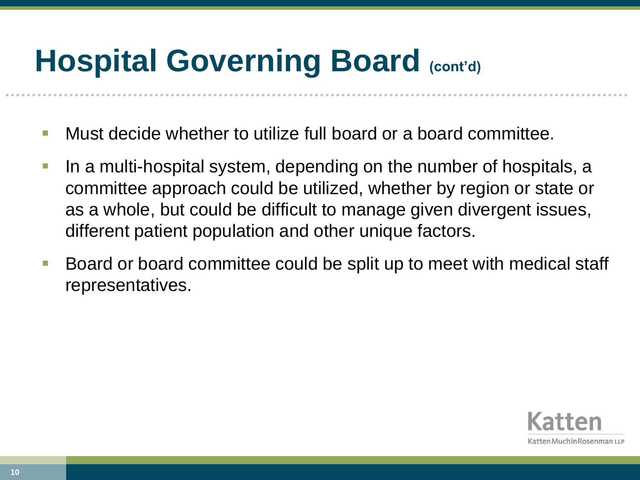- Must decide whether to utilize full board or a board committee.
- In a multi-hospital system, depending on the number of hospitals, a committee approach could be utilized, whether by region or state or as a whole, but could be difficult to manage given divergent issues, different patient population and other unique factors.
- Board or board committee could be split up to meet with medical staff representatives.

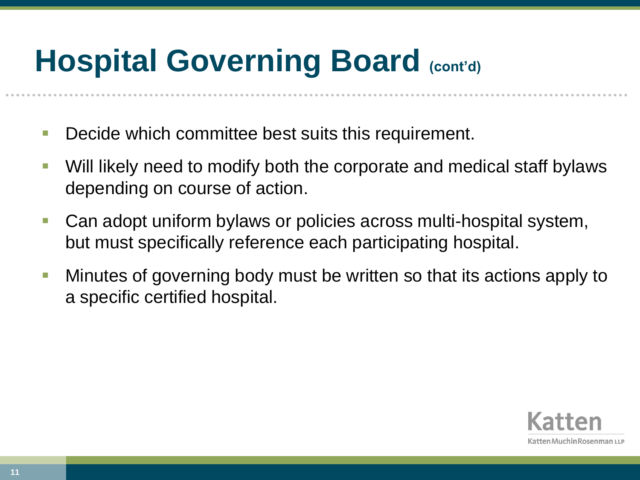- **Decide which committee best suits this requirement.**
- Will likely need to modify both the corporate and medical staff bylaws depending on course of action.
- Can adopt uniform bylaws or policies across multi-hospital system, but must specifically reference each participating hospital.
- **Minutes of governing body must be written so that its actions apply to** a specific certified hospital.

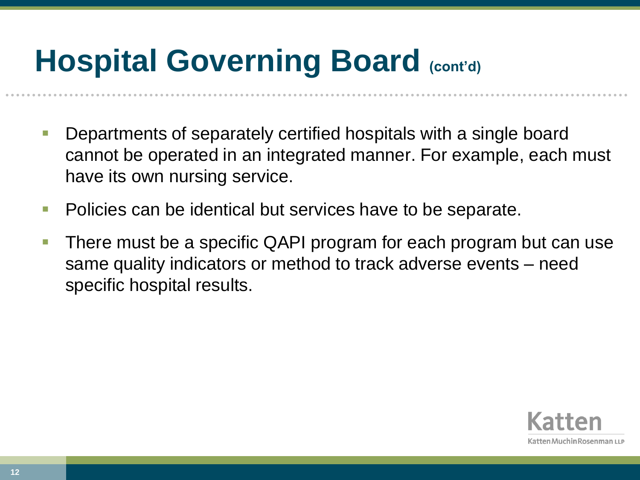- Departments of separately certified hospitals with a single board cannot be operated in an integrated manner. For example, each must have its own nursing service.
- **Policies can be identical but services have to be separate.**
- There must be a specific QAPI program for each program but can use same quality indicators or method to track adverse events – need specific hospital results.

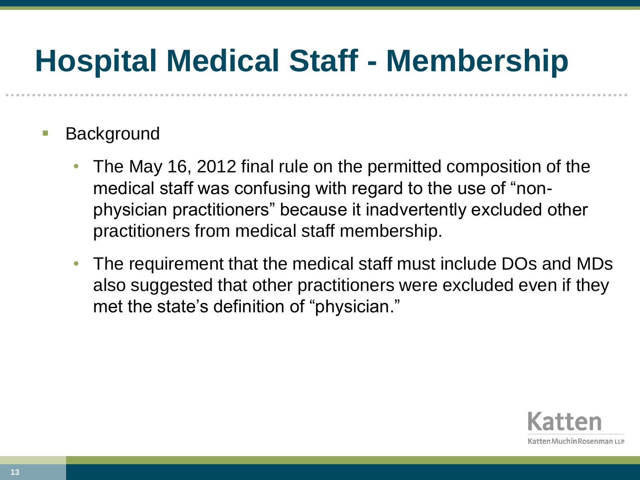#### **Hospital Medical Staff - Membership**

- Background
	- The May 16, 2012 final rule on the permitted composition of the medical staff was confusing with regard to the use of "nonphysician practitioners" because it inadvertently excluded other practitioners from medical staff membership.
	- The requirement that the medical staff must include DOs and MDs also suggested that other practitioners were excluded even if they met the state's definition of "physician."

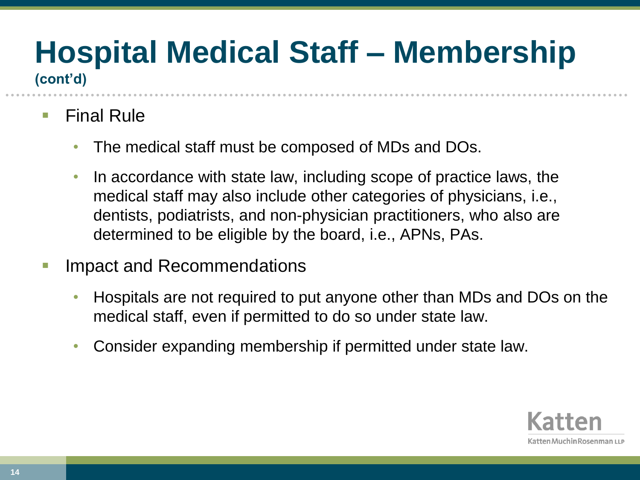# **Hospital Medical Staff – Membership**

**(cont'd)**

- $\blacksquare$  Final Rule
	- The medical staff must be composed of MDs and DOs.
	- In accordance with state law, including scope of practice laws, the medical staff may also include other categories of physicians, i.e., dentists, podiatrists, and non-physician practitioners, who also are determined to be eligible by the board, i.e., APNs, PAs.
- Impact and Recommendations
	- Hospitals are not required to put anyone other than MDs and DOs on the medical staff, even if permitted to do so under state law.
	- Consider expanding membership if permitted under state law.

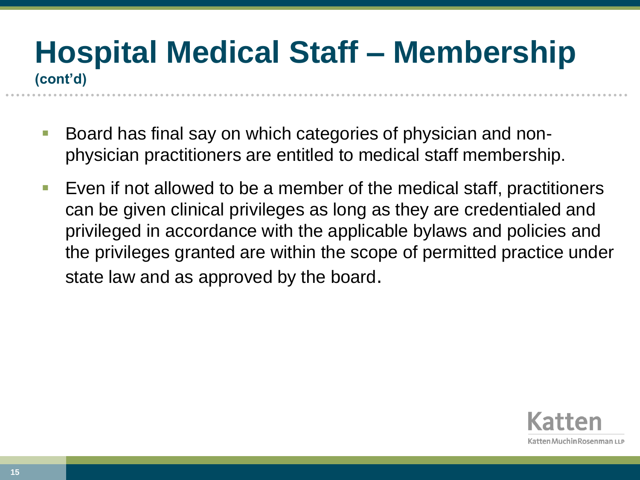#### **Hospital Medical Staff – Membership (cont'd)**

- Board has final say on which categories of physician and nonphysician practitioners are entitled to medical staff membership.
- **Exen if not allowed to be a member of the medical staff, practitioners** can be given clinical privileges as long as they are credentialed and privileged in accordance with the applicable bylaws and policies and the privileges granted are within the scope of permitted practice under state law and as approved by the board.

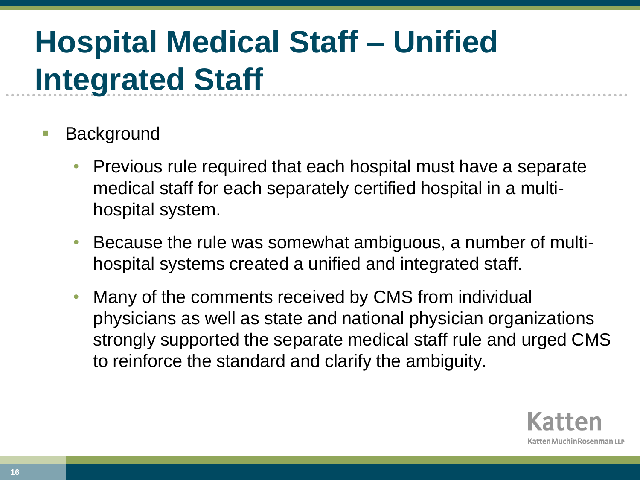- Background
	- Previous rule required that each hospital must have a separate medical staff for each separately certified hospital in a multihospital system.
	- Because the rule was somewhat ambiguous, a number of multihospital systems created a unified and integrated staff.
	- Many of the comments received by CMS from individual physicians as well as state and national physician organizations strongly supported the separate medical staff rule and urged CMS to reinforce the standard and clarify the ambiguity.

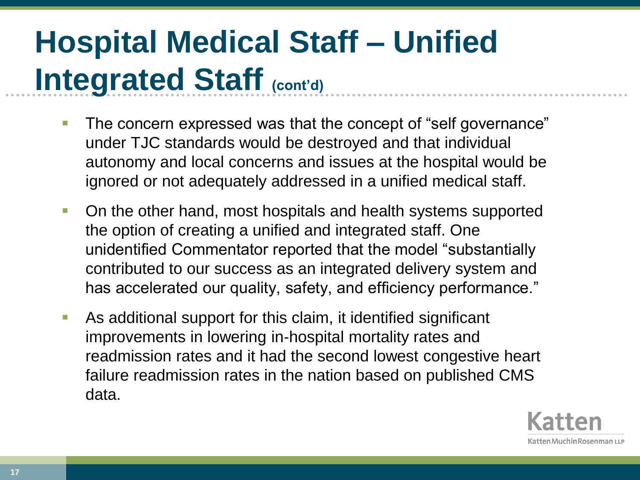- The concern expressed was that the concept of "self governance" under TJC standards would be destroyed and that individual autonomy and local concerns and issues at the hospital would be ignored or not adequately addressed in a unified medical staff.
- **On the other hand, most hospitals and health systems supported** the option of creating a unified and integrated staff. One unidentified Commentator reported that the model "substantially contributed to our success as an integrated delivery system and has accelerated our quality, safety, and efficiency performance."
- As additional support for this claim, it identified significant improvements in lowering in-hospital mortality rates and readmission rates and it had the second lowest congestive heart failure readmission rates in the nation based on published CMS data.

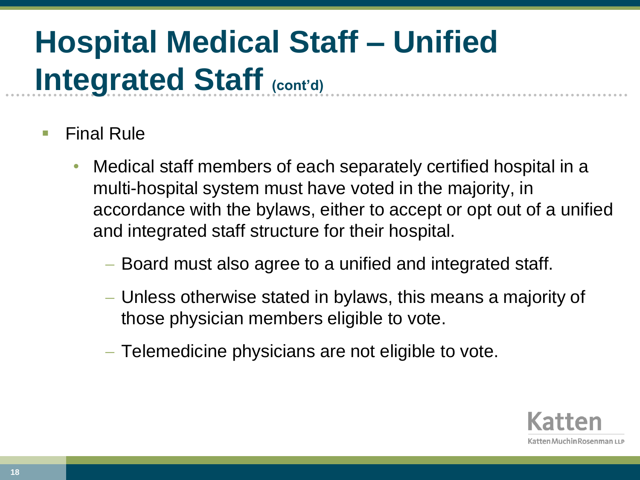- Final Rule
	- Medical staff members of each separately certified hospital in a multi-hospital system must have voted in the majority, in accordance with the bylaws, either to accept or opt out of a unified and integrated staff structure for their hospital.
		- Board must also agree to a unified and integrated staff.
		- Unless otherwise stated in bylaws, this means a majority of those physician members eligible to vote.
		- Telemedicine physicians are not eligible to vote.

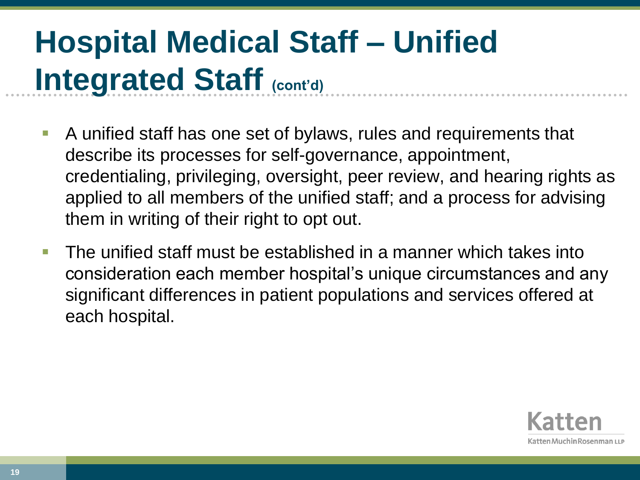- A unified staff has one set of bylaws, rules and requirements that describe its processes for self-governance, appointment, credentialing, privileging, oversight, peer review, and hearing rights as applied to all members of the unified staff; and a process for advising them in writing of their right to opt out.
- The unified staff must be established in a manner which takes into consideration each member hospital's unique circumstances and any significant differences in patient populations and services offered at each hospital.

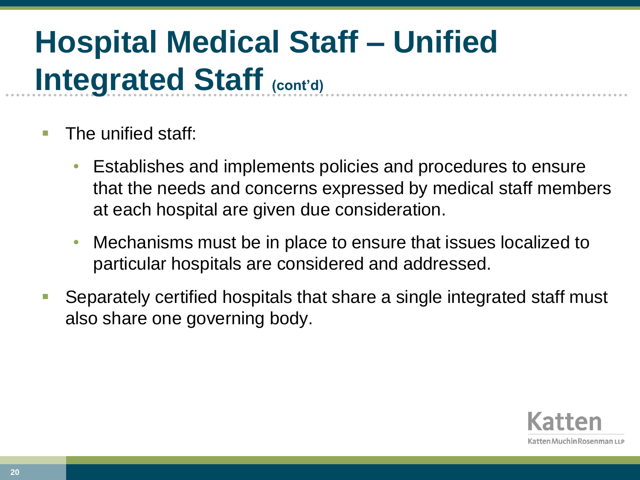- The unified staff:
	- Establishes and implements policies and procedures to ensure that the needs and concerns expressed by medical staff members at each hospital are given due consideration.
	- Mechanisms must be in place to ensure that issues localized to particular hospitals are considered and addressed.
- Separately certified hospitals that share a single integrated staff must also share one governing body.

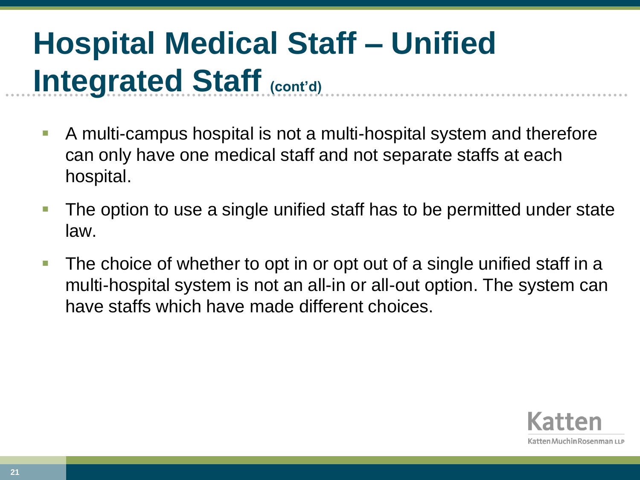- A multi-campus hospital is not a multi-hospital system and therefore can only have one medical staff and not separate staffs at each hospital.
- **The option to use a single unified staff has to be permitted under state** law.
- **The choice of whether to opt in or opt out of a single unified staff in a** multi-hospital system is not an all-in or all-out option. The system can have staffs which have made different choices.

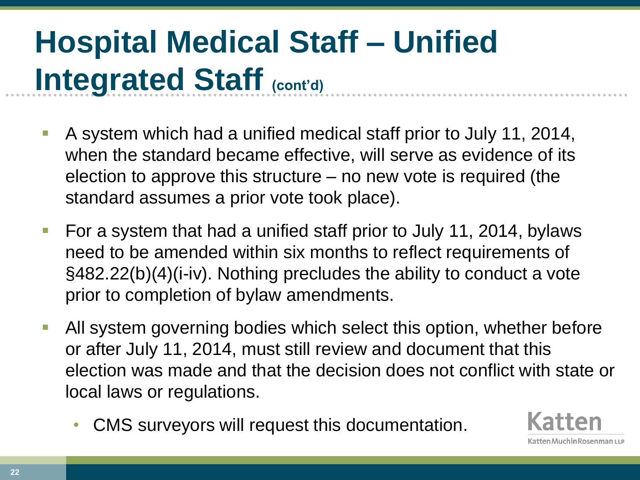- A system which had a unified medical staff prior to July 11, 2014, when the standard became effective, will serve as evidence of its election to approve this structure – no new vote is required (the standard assumes a prior vote took place).
- For a system that had a unified staff prior to July 11, 2014, bylaws need to be amended within six months to reflect requirements of §482.22(b)(4)(i-iv). Nothing precludes the ability to conduct a vote prior to completion of bylaw amendments.
- All system governing bodies which select this option, whether before or after July 11, 2014, must still review and document that this election was made and that the decision does not conflict with state or local laws or regulations.
	- CMS surveyors will request this documentation.

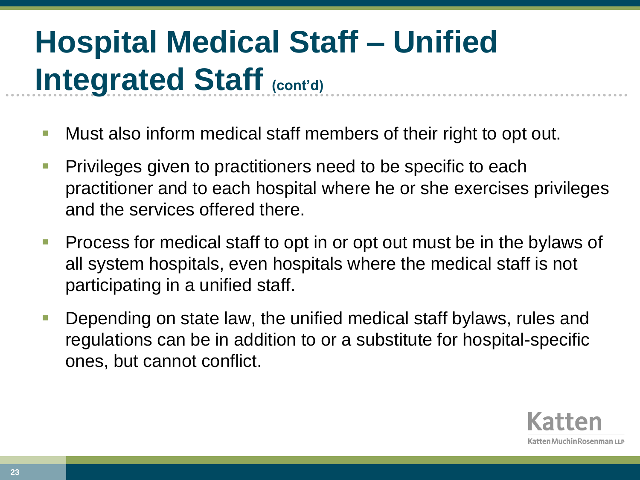- Must also inform medical staff members of their right to opt out.
- Privileges given to practitioners need to be specific to each practitioner and to each hospital where he or she exercises privileges and the services offered there.
- **Process for medical staff to opt in or opt out must be in the bylaws of** all system hospitals, even hospitals where the medical staff is not participating in a unified staff.
- **Depending on state law, the unified medical staff bylaws, rules and** regulations can be in addition to or a substitute for hospital-specific ones, but cannot conflict.

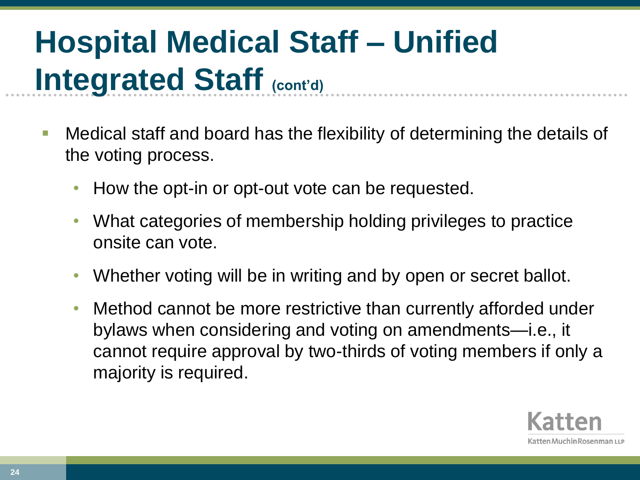- Medical staff and board has the flexibility of determining the details of the voting process.
	- How the opt-in or opt-out vote can be requested.
	- What categories of membership holding privileges to practice onsite can vote.
	- Whether voting will be in writing and by open or secret ballot.
	- Method cannot be more restrictive than currently afforded under bylaws when considering and voting on amendments—i.e., it cannot require approval by two-thirds of voting members if only a majority is required.

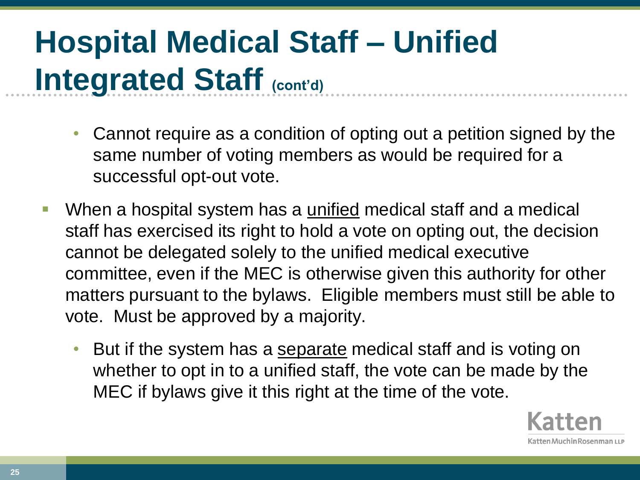- Cannot require as a condition of opting out a petition signed by the same number of voting members as would be required for a successful opt-out vote.
- When a hospital system has a unified medical staff and a medical staff has exercised its right to hold a vote on opting out, the decision cannot be delegated solely to the unified medical executive committee, even if the MEC is otherwise given this authority for other matters pursuant to the bylaws. Eligible members must still be able to vote. Must be approved by a majority.
	- But if the system has a separate medical staff and is voting on whether to opt in to a unified staff, the vote can be made by the MEC if bylaws give it this right at the time of the vote.

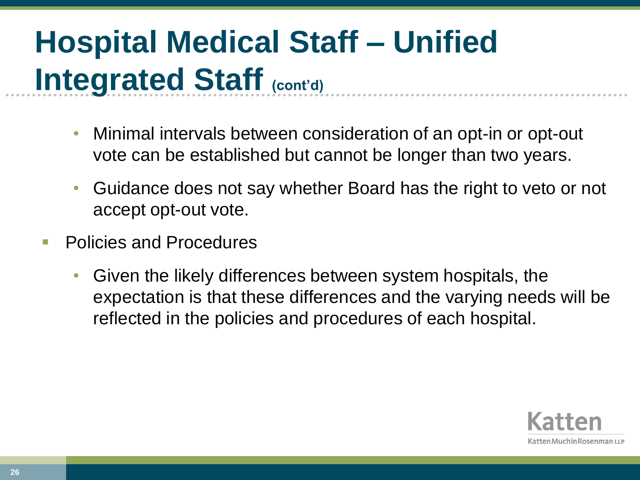- Minimal intervals between consideration of an opt-in or opt-out vote can be established but cannot be longer than two years.
- Guidance does not say whether Board has the right to veto or not accept opt-out vote.
- Policies and Procedures
	- Given the likely differences between system hospitals, the expectation is that these differences and the varying needs will be reflected in the policies and procedures of each hospital.

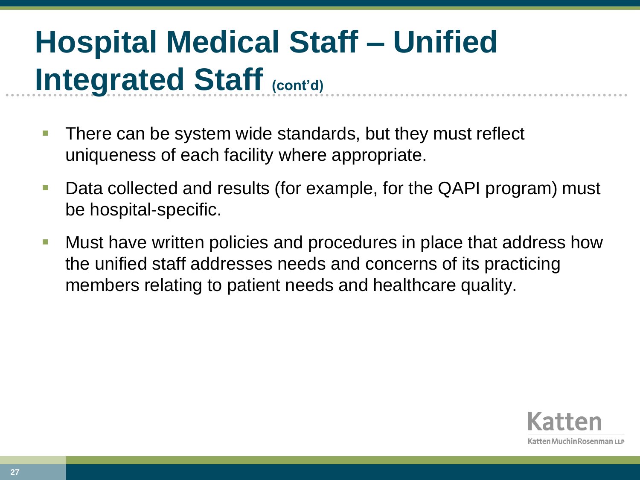- There can be system wide standards, but they must reflect uniqueness of each facility where appropriate.
- **Data collected and results (for example, for the QAPI program) must** be hospital-specific.
- **Nust have written policies and procedures in place that address how** the unified staff addresses needs and concerns of its practicing members relating to patient needs and healthcare quality.

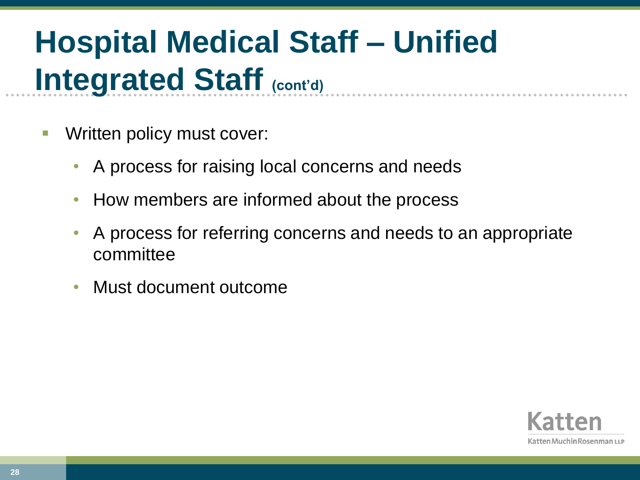- Written policy must cover:
	- A process for raising local concerns and needs
	- How members are informed about the process
	- A process for referring concerns and needs to an appropriate committee
	- Must document outcome

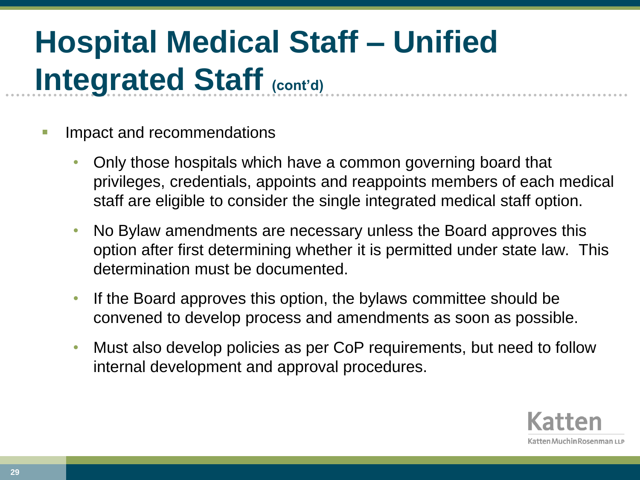- Impact and recommendations
	- Only those hospitals which have a common governing board that privileges, credentials, appoints and reappoints members of each medical staff are eligible to consider the single integrated medical staff option.
	- No Bylaw amendments are necessary unless the Board approves this option after first determining whether it is permitted under state law. This determination must be documented.
	- If the Board approves this option, the bylaws committee should be convened to develop process and amendments as soon as possible.
	- Must also develop policies as per CoP requirements, but need to follow internal development and approval procedures.

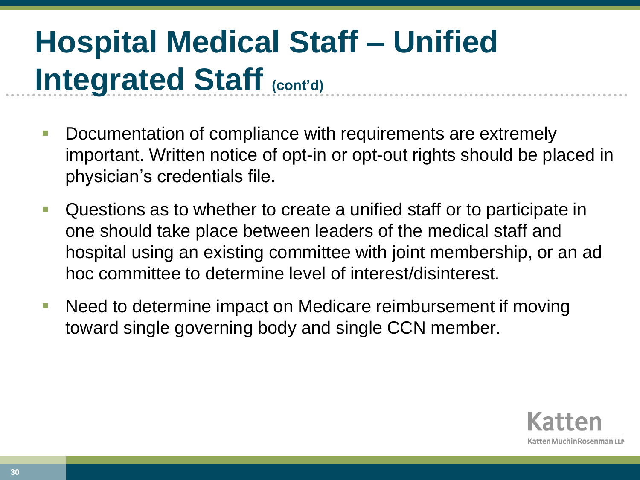- Documentation of compliance with requirements are extremely important. Written notice of opt-in or opt-out rights should be placed in physician's credentials file.
- **Questions as to whether to create a unified staff or to participate in** one should take place between leaders of the medical staff and hospital using an existing committee with joint membership, or an ad hoc committee to determine level of interest/disinterest.
- Need to determine impact on Medicare reimbursement if moving toward single governing body and single CCN member.

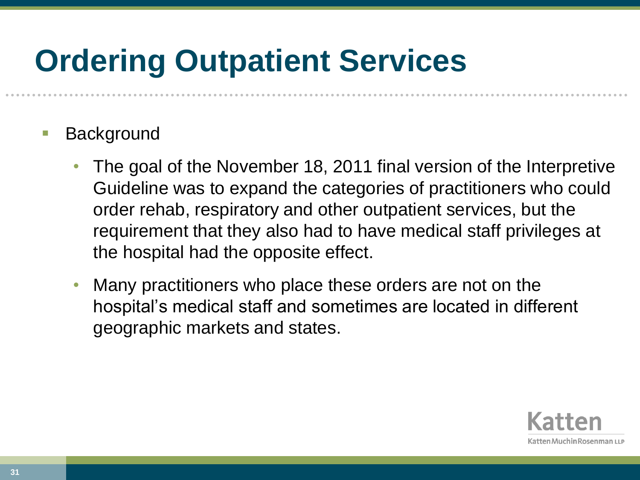#### **Ordering Outpatient Services**

- Background
	- The goal of the November 18, 2011 final version of the Interpretive Guideline was to expand the categories of practitioners who could order rehab, respiratory and other outpatient services, but the requirement that they also had to have medical staff privileges at the hospital had the opposite effect.
	- Many practitioners who place these orders are not on the hospital's medical staff and sometimes are located in different geographic markets and states.

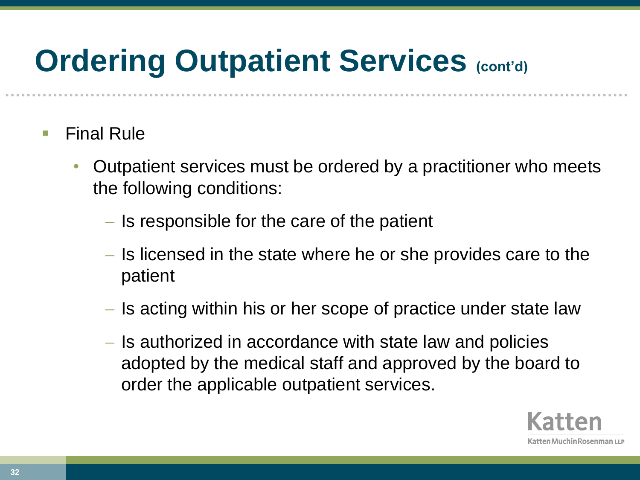#### **Ordering Outpatient Services (cont'd)**

- Final Rule
	- Outpatient services must be ordered by a practitioner who meets the following conditions:
		- $\overline{\phantom{a}}$  Is responsible for the care of the patient
		- Is licensed in the state where he or she provides care to the patient
		- Is acting within his or her scope of practice under state law
		- Is authorized in accordance with state law and policies adopted by the medical staff and approved by the board to order the applicable outpatient services.

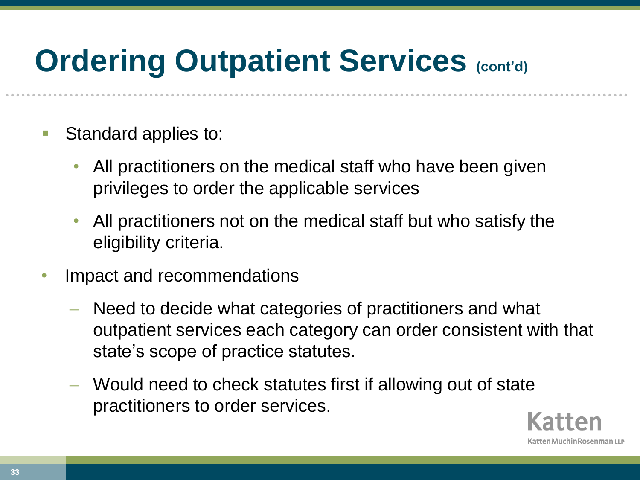#### **Ordering Outpatient Services (cont'd)**

- Standard applies to:
	- All practitioners on the medical staff who have been given privileges to order the applicable services
	- All practitioners not on the medical staff but who satisfy the eligibility criteria.
- Impact and recommendations
	- Need to decide what categories of practitioners and what outpatient services each category can order consistent with that state's scope of practice statutes.
	- Would need to check statutes first if allowing out of state practitioners to order services.

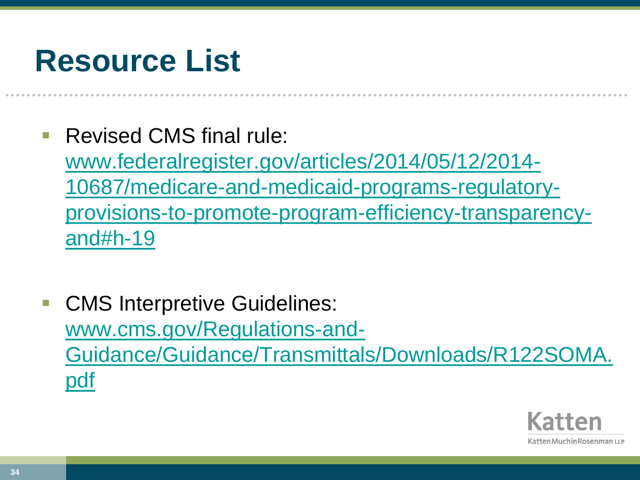#### **Resource List**

Revised CMS final rule:

[www.federalregister.gov/articles/2014/05/12/2014-](http://www.federalregister.gov/articles/2014/05/12/2014-10687/medicare-and-medicaid-programs-regulatory-provisions-to-promote-program-efficiency-transparency-and) [10687/medicare-and-medicaid-programs-regulatory](http://www.federalregister.gov/articles/2014/05/12/2014-10687/medicare-and-medicaid-programs-regulatory-provisions-to-promote-program-efficiency-transparency-and)[provisions-to-promote-program-efficiency-transparency](http://www.federalregister.gov/articles/2014/05/12/2014-10687/medicare-and-medicaid-programs-regulatory-provisions-to-promote-program-efficiency-transparency-and)[and#h-19](http://www.federalregister.gov/articles/2014/05/12/2014-10687/medicare-and-medicaid-programs-regulatory-provisions-to-promote-program-efficiency-transparency-and)

 CMS Interpretive Guidelines: [www.cms.gov/Regulations-and-](https://www.cms.gov/Regulations-and-Guidance/Guidance/Transmittals/Downloads/R122SOMA.pdf)[Guidance/Guidance/Transmittals/Downloads/R122SOMA.](https://www.cms.gov/Regulations-and-Guidance/Guidance/Transmittals/Downloads/R122SOMA.pdf) [pdf](https://www.cms.gov/Regulations-and-Guidance/Guidance/Transmittals/Downloads/R122SOMA.pdf)

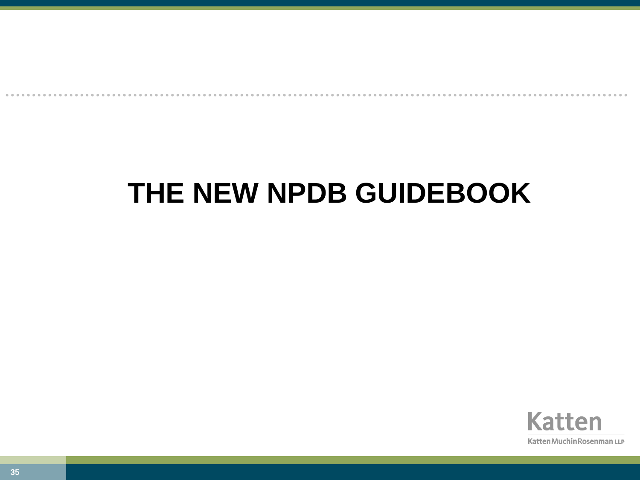#### **THE NEW NPDB GUIDEBOOK**

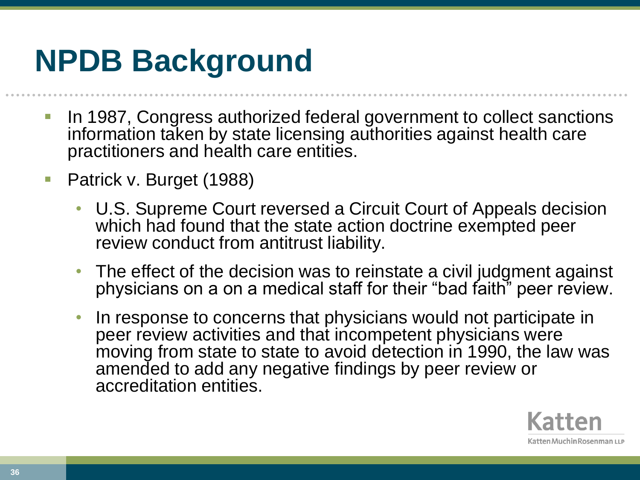#### **NPDB Background**

- **In 1987, Congress authorized federal government to collect sanctions** information taken by state licensing authorities against health care practitioners and health care entities.
- Patrick v. Burget (1988)
	- U.S. Supreme Court reversed a Circuit Court of Appeals decision which had found that the state action doctrine exempted peer review conduct from antitrust liability.
	- The effect of the decision was to reinstate a civil judgment against physicians on a on a medical staff for their "bad faith" peer review.
	- In response to concerns that physicians would not participate in peer review activities and that incompetent physicians were moving from state to state to avoid detection in 1990, the law was amended to add any negative findings by peer review or accreditation entities.

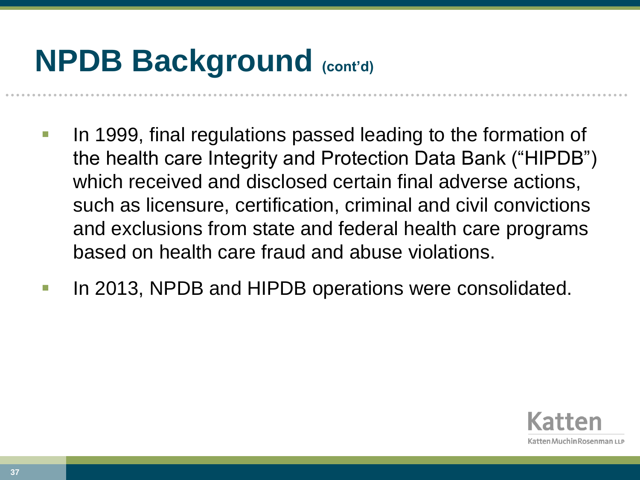## **NPDB Background (cont'd)**

- In 1999, final regulations passed leading to the formation of the health care Integrity and Protection Data Bank ("HIPDB") which received and disclosed certain final adverse actions, such as licensure, certification, criminal and civil convictions and exclusions from state and federal health care programs based on health care fraud and abuse violations.
- In 2013, NPDB and HIPDB operations were consolidated.

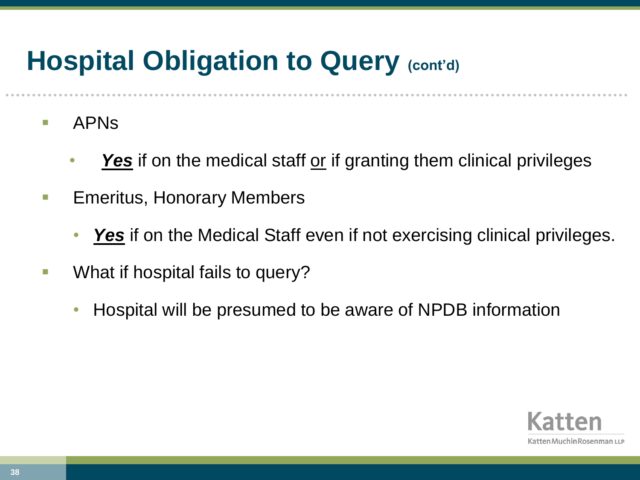#### **Hospital Obligation to Query (cont'd)**

- **APNS** 
	- Yes<sup> if</sup> on the medical staff or if granting them clinical privileges
- **Emeritus, Honorary Members** 
	- **Yes** if on the Medical Staff even if not exercising clinical privileges.
- **No. 3. 1.5. What if hospital fails to query?** 
	- Hospital will be presumed to be aware of NPDB information

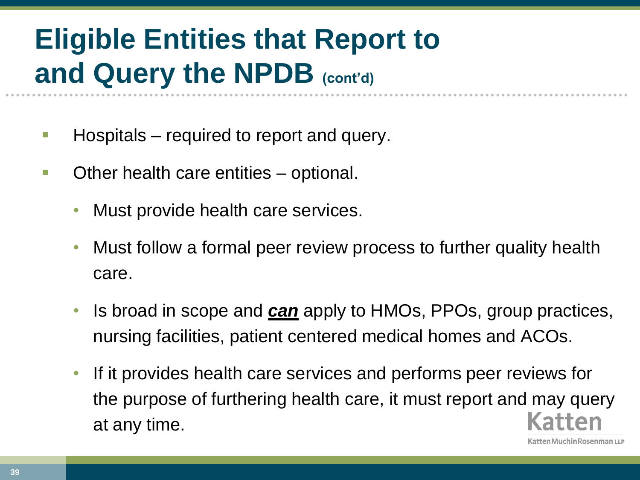## **Eligible Entities that Report to and Query the NPDB (cont'd)**

- **Hospitals** required to report and query.
- **Deta** Other health care entities optional.
	- Must provide health care services.
	- Must follow a formal peer review process to further quality health care.
	- Is broad in scope and *can* apply to HMOs, PPOs, group practices, nursing facilities, patient centered medical homes and ACOs.
	- If it provides health care services and performs peer reviews for the purpose of furthering health care, it must report and may query at any time.

ten Muchin Rosenman LLP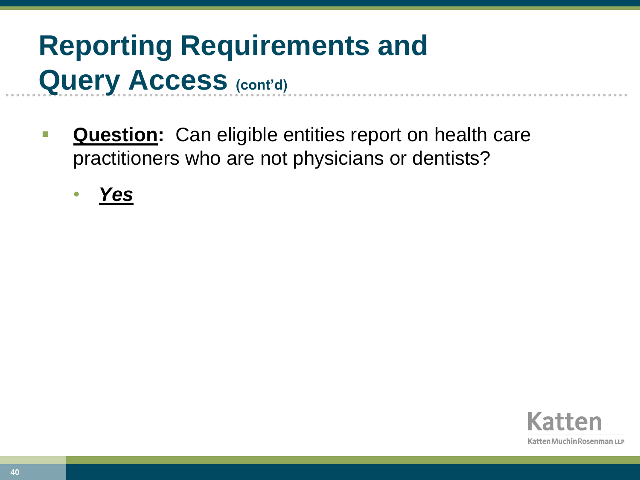## **Reporting Requirements and Query Access (cont'd)**

- **Question:** Can eligible entities report on health care practitioners who are not physicians or dentists?
	- *Yes*

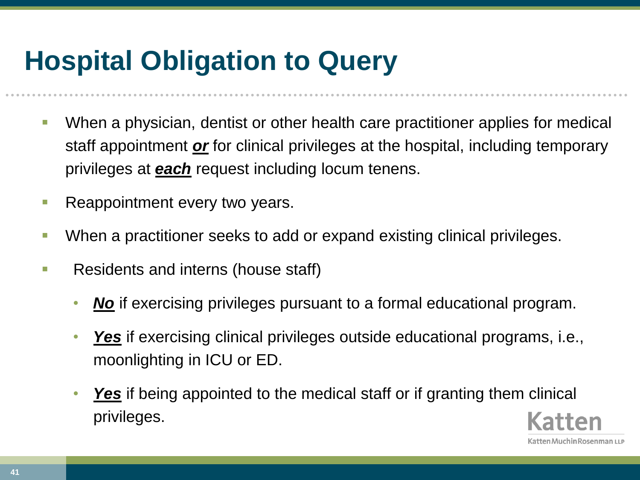#### **Hospital Obligation to Query**

- When a physician, dentist or other health care practitioner applies for medical staff appointment *or* for clinical privileges at the hospital, including temporary privileges at *each* request including locum tenens.
- Reappointment every two years.
- When a practitioner seeks to add or expand existing clinical privileges.
- **Residents and interns (house staff)** 
	- *No* if exercising privileges pursuant to a formal educational program.
	- *Yes* if exercising clinical privileges outside educational programs, i.e., moonlighting in ICU or ED.
	- *Yes* if being appointed to the medical staff or if granting them clinical privileges.

**41**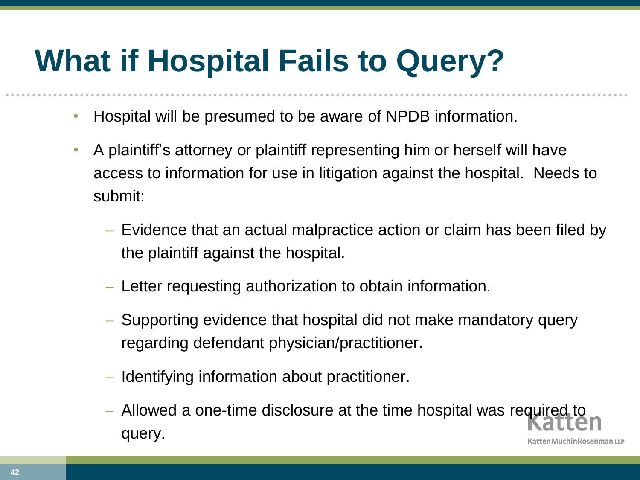# **What if Hospital Fails to Query?**

- Hospital will be presumed to be aware of NPDB information.
- A plaintiff's attorney or plaintiff representing him or herself will have access to information for use in litigation against the hospital. Needs to submit:
	- Evidence that an actual malpractice action or claim has been filed by the plaintiff against the hospital.
	- Letter requesting authorization to obtain information.
	- Supporting evidence that hospital did not make mandatory query regarding defendant physician/practitioner.
	- Identifying information about practitioner.
	- Allowed a one-time disclosure at the time hospital was required to query.atten Muchin Rosenman LLP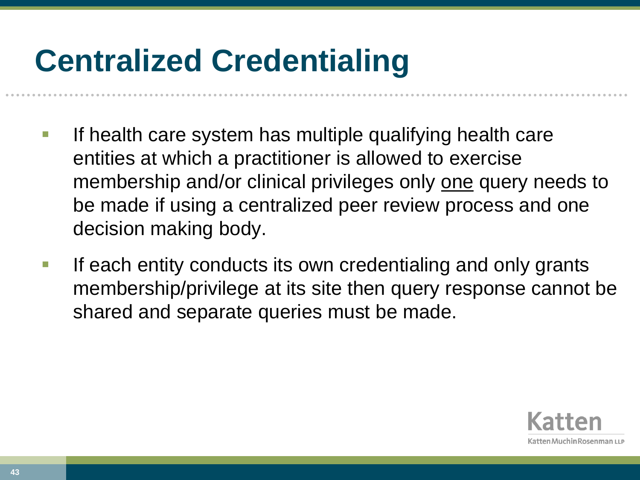## **Centralized Credentialing**

- If health care system has multiple qualifying health care entities at which a practitioner is allowed to exercise membership and/or clinical privileges only one query needs to be made if using a centralized peer review process and one decision making body.
- If each entity conducts its own credentialing and only grants membership/privilege at its site then query response cannot be shared and separate queries must be made.

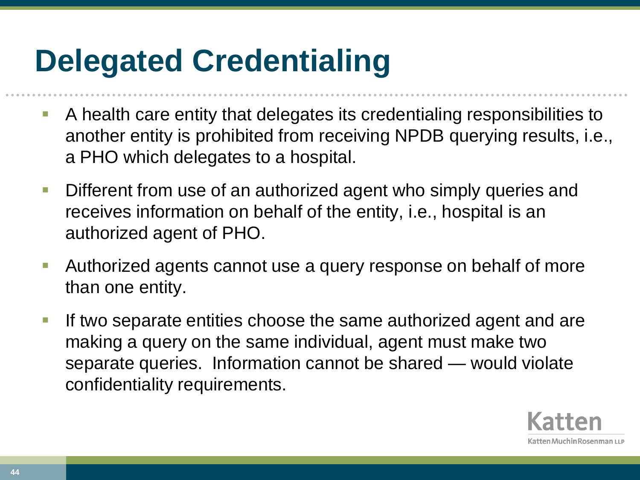## **Delegated Credentialing**

- A health care entity that delegates its credentialing responsibilities to another entity is prohibited from receiving NPDB querying results, i.e., a PHO which delegates to a hospital.
- **Different from use of an authorized agent who simply queries and** receives information on behalf of the entity, i.e., hospital is an authorized agent of PHO.
- Authorized agents cannot use a query response on behalf of more than one entity.
- **If two separate entities choose the same authorized agent and are** making a query on the same individual, agent must make two separate queries. Information cannot be shared — would violate confidentiality requirements.

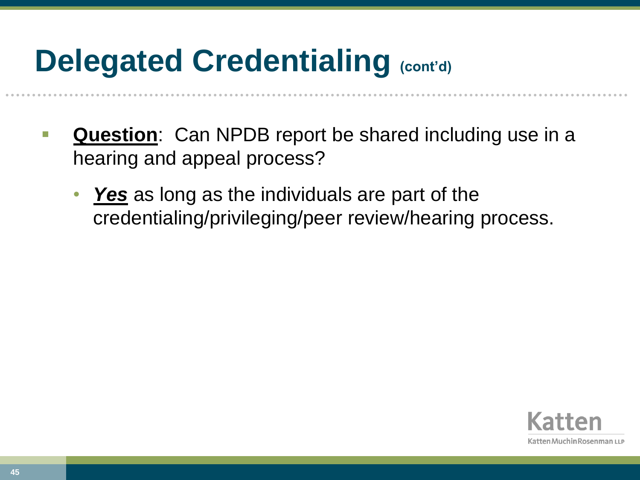## **Delegated Credentialing (cont'd)**

- **Question**: Can NPDB report be shared including use in a hearing and appeal process?
	- **Yes** as long as the individuals are part of the credentialing/privileging/peer review/hearing process.

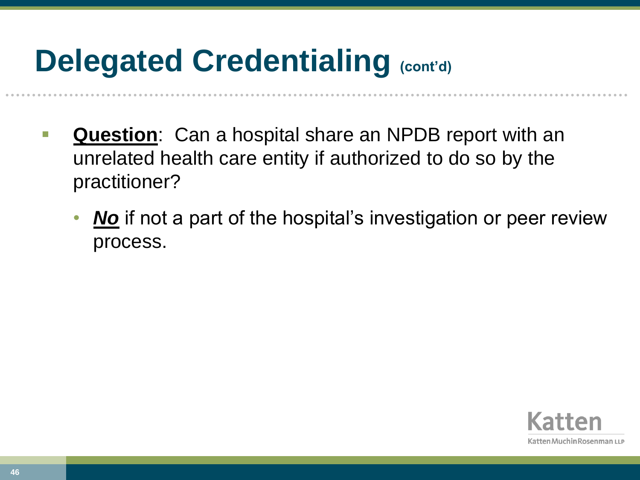## **Delegated Credentialing (cont'd)**

- **Question**: Can a hospital share an NPDB report with an unrelated health care entity if authorized to do so by the practitioner?
	- *No* if not a part of the hospital's investigation or peer review process.

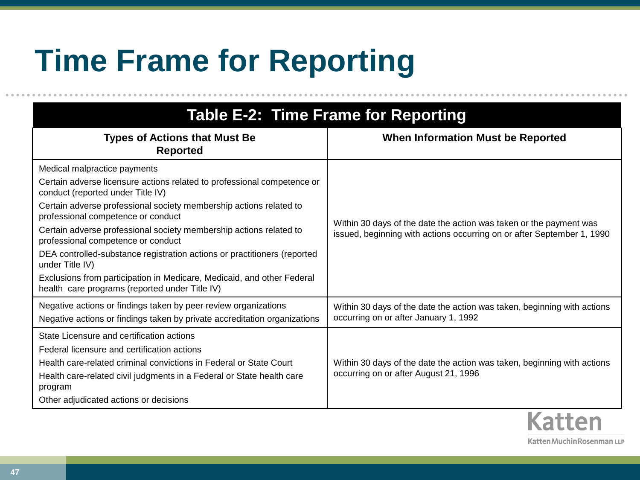# **Time Frame for Reporting**

| Table E-2: Time Frame for Reporting                                                                                      |                                                                                                                                              |
|--------------------------------------------------------------------------------------------------------------------------|----------------------------------------------------------------------------------------------------------------------------------------------|
| <b>Types of Actions that Must Be</b><br><b>Reported</b>                                                                  | <b>When Information Must be Reported</b>                                                                                                     |
| Medical malpractice payments                                                                                             | Within 30 days of the date the action was taken or the payment was<br>issued, beginning with actions occurring on or after September 1, 1990 |
| Certain adverse licensure actions related to professional competence or<br>conduct (reported under Title IV)             |                                                                                                                                              |
| Certain adverse professional society membership actions related to<br>professional competence or conduct                 |                                                                                                                                              |
| Certain adverse professional society membership actions related to<br>professional competence or conduct                 |                                                                                                                                              |
| DEA controlled-substance registration actions or practitioners (reported<br>under Title IV)                              |                                                                                                                                              |
| Exclusions from participation in Medicare, Medicaid, and other Federal<br>health care programs (reported under Title IV) |                                                                                                                                              |
| Negative actions or findings taken by peer review organizations                                                          | Within 30 days of the date the action was taken, beginning with actions                                                                      |
| Negative actions or findings taken by private accreditation organizations                                                | occurring on or after January 1, 1992                                                                                                        |
| State Licensure and certification actions                                                                                |                                                                                                                                              |
| Federal licensure and certification actions                                                                              |                                                                                                                                              |
| Health care-related criminal convictions in Federal or State Court                                                       | Within 30 days of the date the action was taken, beginning with actions<br>occurring on or after August 21, 1996                             |
| Health care-related civil judgments in a Federal or State health care<br>program                                         |                                                                                                                                              |
| Other adjudicated actions or decisions                                                                                   |                                                                                                                                              |
|                                                                                                                          |                                                                                                                                              |

Katten Muchin Rosenman LLP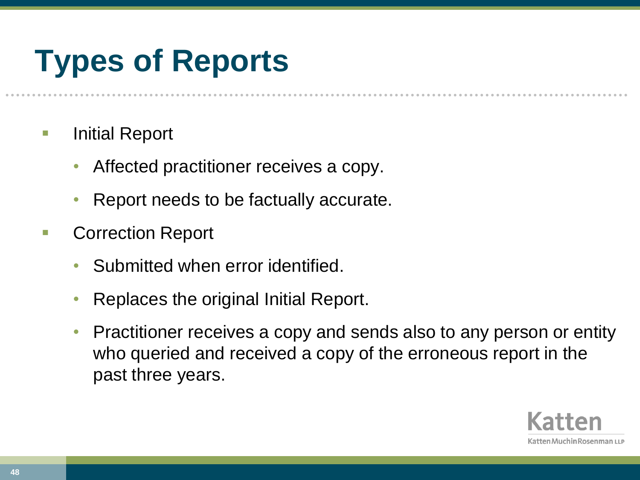# **Types of Reports**

- **Initial Report** 
	- Affected practitioner receives a copy.
	- Report needs to be factually accurate.
- Correction Report
	- Submitted when error identified.
	- Replaces the original Initial Report.
	- Practitioner receives a copy and sends also to any person or entity who queried and received a copy of the erroneous report in the past three years.

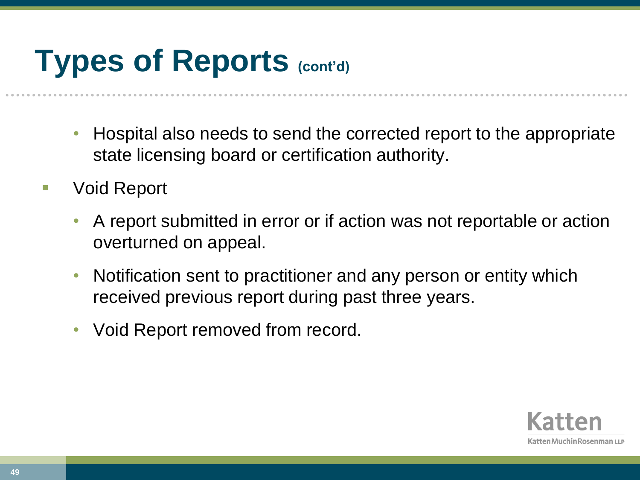## **Types of Reports (cont'd)**

- Hospital also needs to send the corrected report to the appropriate state licensing board or certification authority.
- Void Report
	- A report submitted in error or if action was not reportable or action overturned on appeal.
	- Notification sent to practitioner and any person or entity which received previous report during past three years.
	- Void Report removed from record.

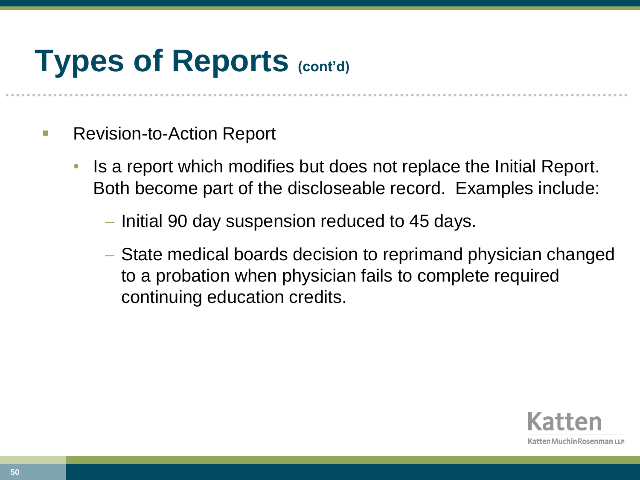## **Types of Reports (cont'd)**

- Revision-to-Action Report
	- Is a report which modifies but does not replace the Initial Report. Both become part of the discloseable record. Examples include:
		- Initial 90 day suspension reduced to 45 days.
		- State medical boards decision to reprimand physician changed to a probation when physician fails to complete required continuing education credits.

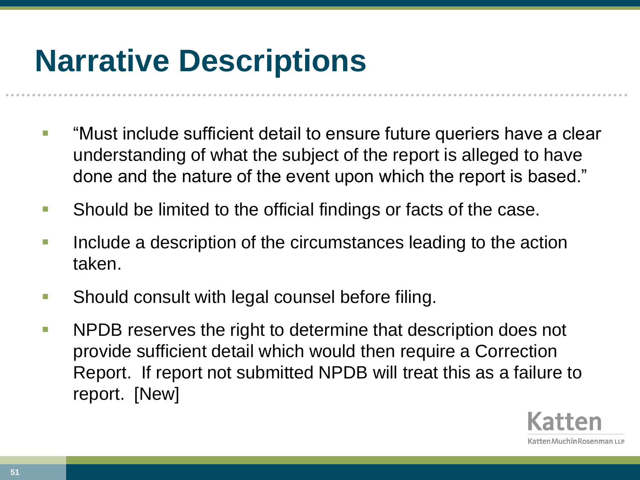## **Narrative Descriptions**

- **TEP "Must include sufficient detail to ensure future queriers have a clear** understanding of what the subject of the report is alleged to have done and the nature of the event upon which the report is based."
- **Should be limited to the official findings or facts of the case.**
- Include a description of the circumstances leading to the action taken.
- **Should consult with legal counsel before filing.**
- **NPDB** reserves the right to determine that description does not provide sufficient detail which would then require a Correction Report. If report not submitted NPDB will treat this as a failure to report. [New]

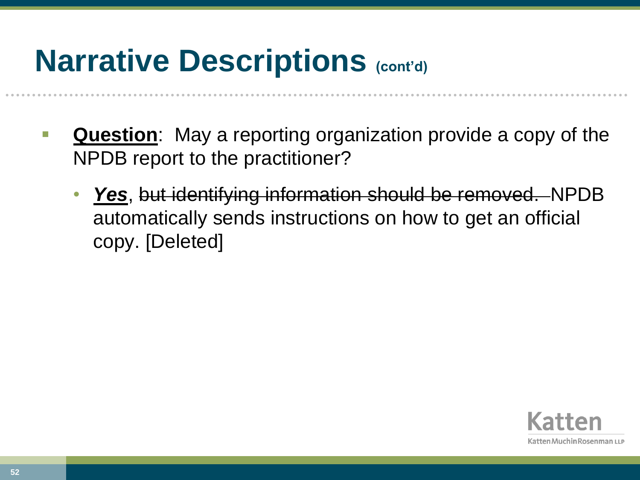## **Narrative Descriptions (cont'd)**

- **Question**: May a reporting organization provide a copy of the NPDB report to the practitioner?
	- *Yes*, but identifying information should be removed. NPDB automatically sends instructions on how to get an official copy. [Deleted]

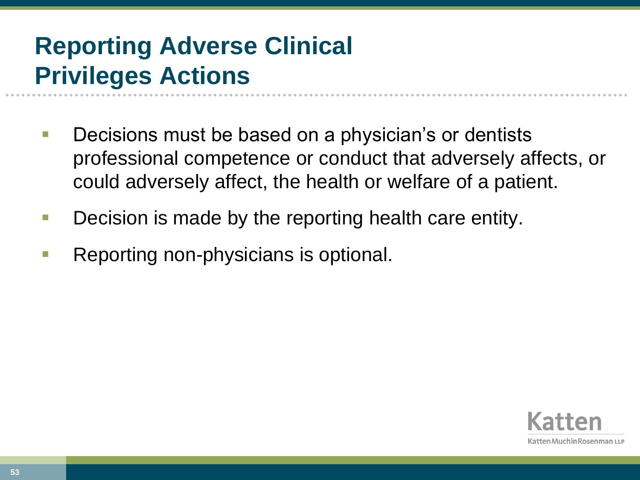#### **Reporting Adverse Clinical Privileges Actions**

- Decisions must be based on a physician's or dentists professional competence or conduct that adversely affects, or could adversely affect, the health or welfare of a patient.
- **Decision is made by the reporting health care entity.**
- Reporting non-physicians is optional.

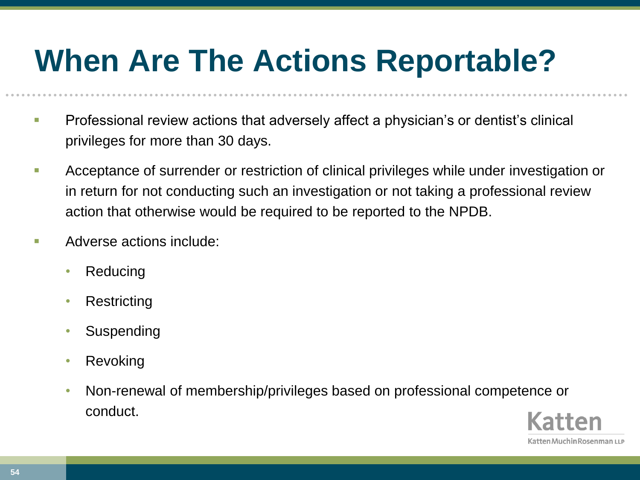## **When Are The Actions Reportable?**

- **Professional review actions that adversely affect a physician's or dentist's clinical** privileges for more than 30 days.
- **Acceptance of surrender or restriction of clinical privileges while under investigation or** in return for not conducting such an investigation or not taking a professional review action that otherwise would be required to be reported to the NPDB.
- **Adverse actions include:** 
	- Reducing
	- **Restricting**
	- **Suspending**
	- Revoking
	- Non-renewal of membership/privileges based on professional competence or conduct.

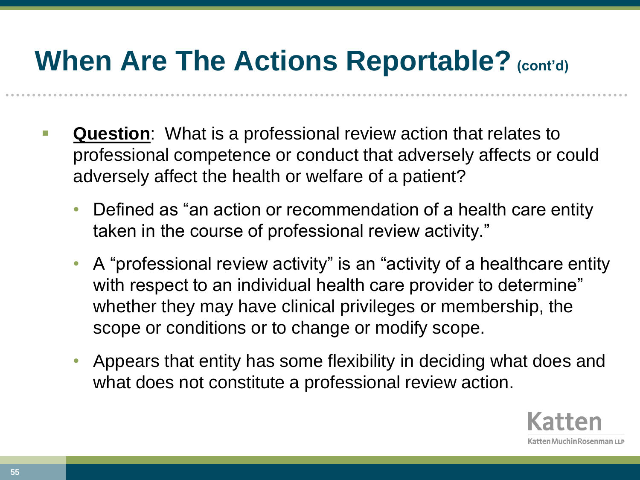- **Question**: What is a professional review action that relates to professional competence or conduct that adversely affects or could adversely affect the health or welfare of a patient?
	- Defined as "an action or recommendation of a health care entity taken in the course of professional review activity."
	- A "professional review activity" is an "activity of a healthcare entity with respect to an individual health care provider to determine" whether they may have clinical privileges or membership, the scope or conditions or to change or modify scope.
	- Appears that entity has some flexibility in deciding what does and what does not constitute a professional review action.

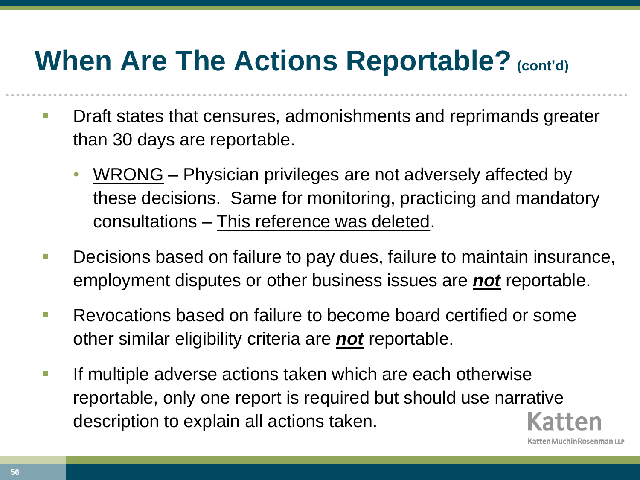- **Draft states that censures, admonishments and reprimands greater** than 30 days are reportable.
	- WRONG Physician privileges are not adversely affected by these decisions. Same for monitoring, practicing and mandatory consultations – This reference was deleted.
- **Decisions based on failure to pay dues, failure to maintain insurance,** employment disputes or other business issues are *not* reportable.
- **Revocations based on failure to become board certified or some** other similar eligibility criteria are *not* reportable.
- **If multiple adverse actions taken which are each otherwise** reportable, only one report is required but should use narrative description to explain all actions taken.

**56**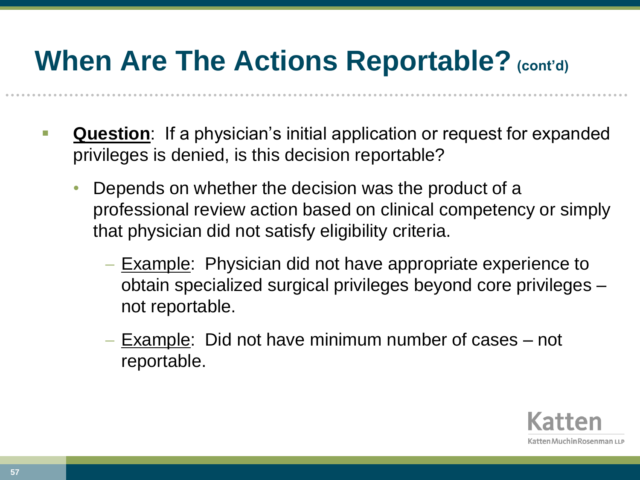- **Question**: If a physician's initial application or request for expanded privileges is denied, is this decision reportable?
	- Depends on whether the decision was the product of a professional review action based on clinical competency or simply that physician did not satisfy eligibility criteria.
		- Example: Physician did not have appropriate experience to obtain specialized surgical privileges beyond core privileges – not reportable.
		- Example: Did not have minimum number of cases not reportable.

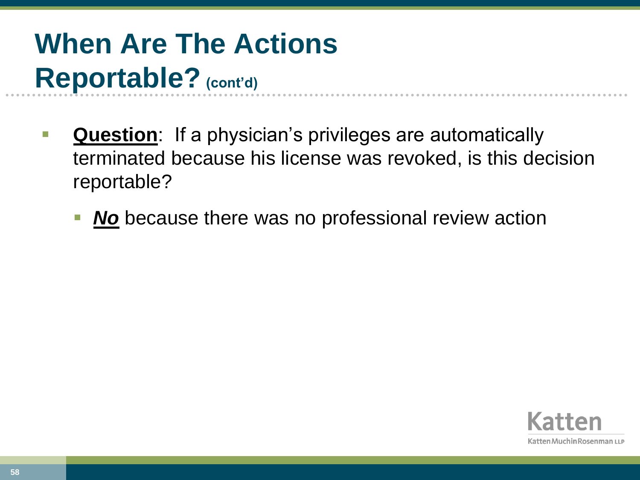- **Question**: If a physician's privileges are automatically terminated because his license was revoked, is this decision reportable?
	- *No* because there was no professional review action

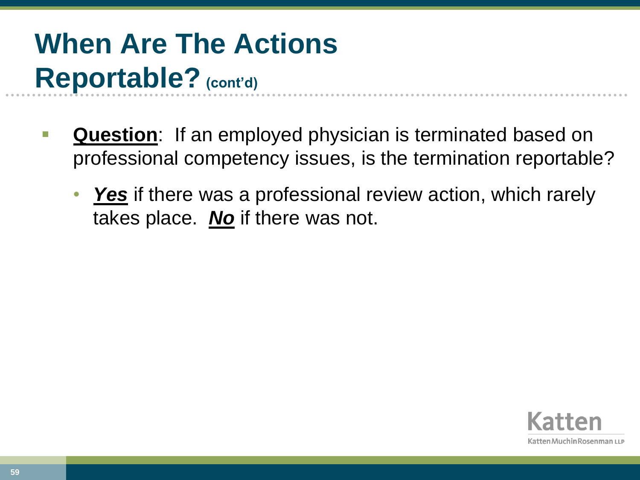- **Question**: If an employed physician is terminated based on professional competency issues, is the termination reportable?
	- *Yes* if there was a professional review action, which rarely takes place. *No* if there was not.

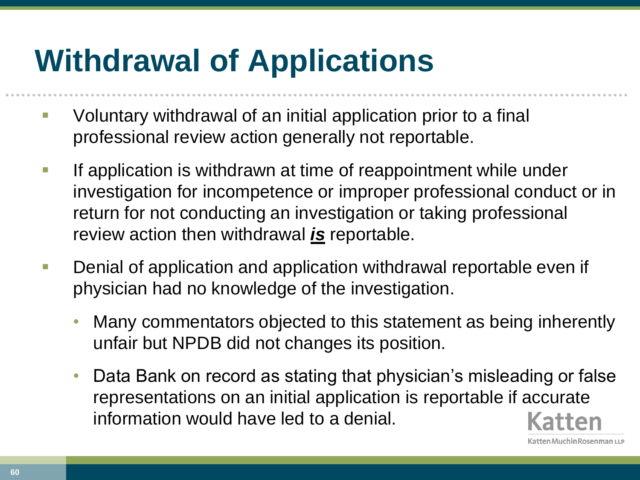# **Withdrawal of Applications**

- **U** Voluntary withdrawal of an initial application prior to a final professional review action generally not reportable.
- **If application is withdrawn at time of reappointment while under** investigation for incompetence or improper professional conduct or in return for not conducting an investigation or taking professional review action then withdrawal *is* reportable.
- **Denial of application and application withdrawal reportable even if** physician had no knowledge of the investigation.
	- Many commentators objected to this statement as being inherently unfair but NPDB did not changes its position.
	- Data Bank on record as stating that physician's misleading or false representations on an initial application is reportable if accurate information would have led to a denial.

atten Muchin Rosenman LLP

**60**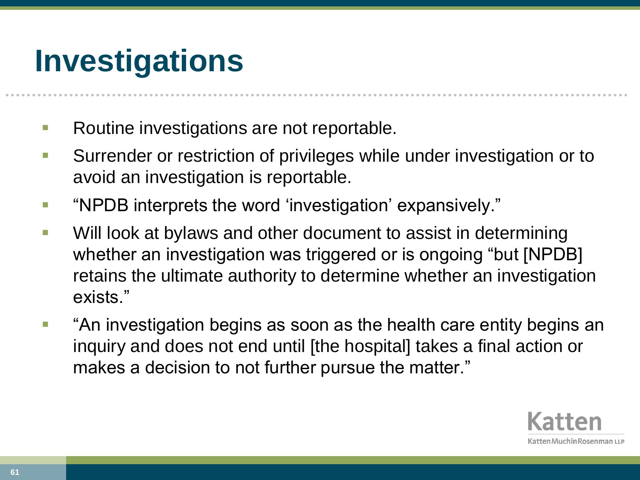## **Investigations**

- Routine investigations are not reportable.
- **Surrender or restriction of privileges while under investigation or to** avoid an investigation is reportable.
- "NPDB interprets the word 'investigation' expansively."
- **Will look at bylaws and other document to assist in determining** whether an investigation was triggered or is ongoing "but [NPDB] retains the ultimate authority to determine whether an investigation exists."
- "An investigation begins as soon as the health care entity begins an inquiry and does not end until [the hospital] takes a final action or makes a decision to not further pursue the matter."

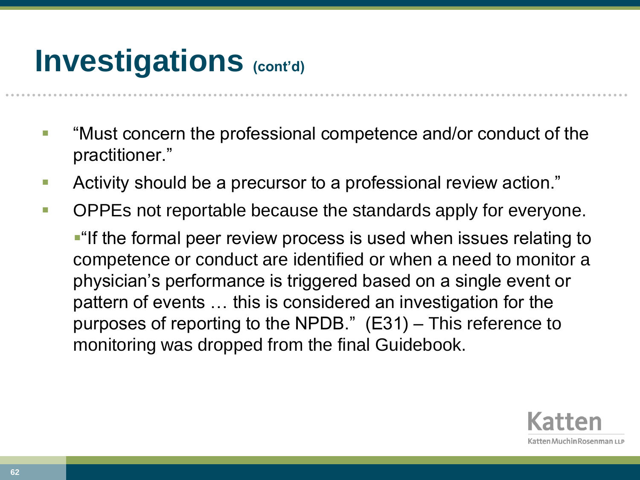## **Investigations** (cont'd)

- "Must concern the professional competence and/or conduct of the practitioner."
- Activity should be a precursor to a professional review action."
- **DPPEs not reportable because the standards apply for everyone.**

**-** "If the formal peer review process is used when issues relating to competence or conduct are identified or when a need to monitor a physician's performance is triggered based on a single event or pattern of events … this is considered an investigation for the purposes of reporting to the NPDB." (E31) – This reference to monitoring was dropped from the final Guidebook.

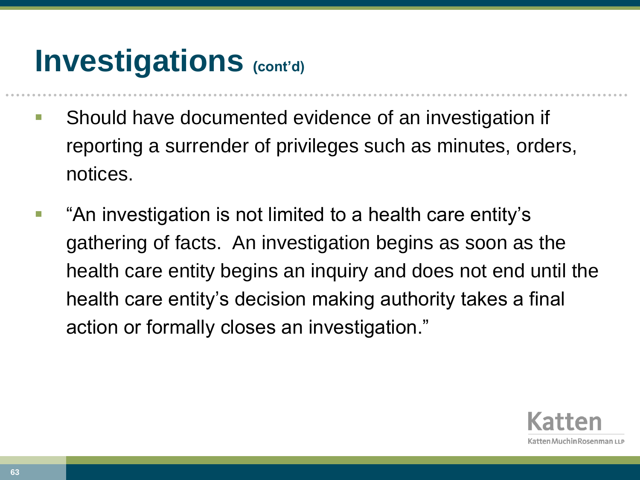## **Investigations** (cont'd)

- **Should have documented evidence of an investigation if** reporting a surrender of privileges such as minutes, orders, notices.
- **•** "An investigation is not limited to a health care entity's gathering of facts. An investigation begins as soon as the health care entity begins an inquiry and does not end until the health care entity's decision making authority takes a final action or formally closes an investigation."

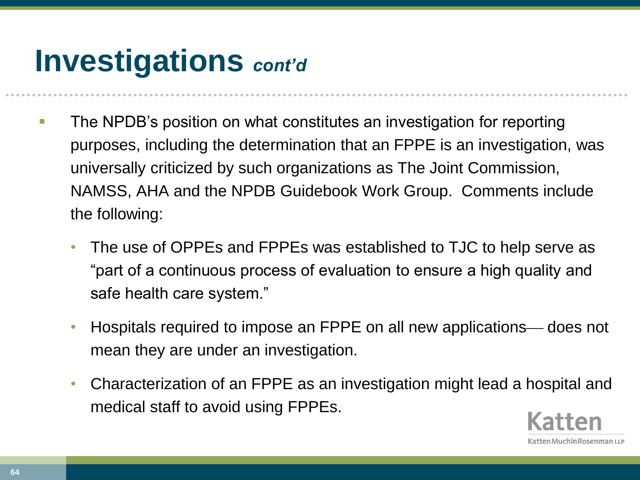## **Investigations** *cont'd*

- **The NPDB's position on what constitutes an investigation for reporting** purposes, including the determination that an FPPE is an investigation, was universally criticized by such organizations as The Joint Commission, NAMSS, AHA and the NPDB Guidebook Work Group. Comments include the following:
	- The use of OPPEs and FPPEs was established to TJC to help serve as "part of a continuous process of evaluation to ensure a high quality and safe health care system."
	- Hospitals required to impose an FPPE on all new applications— does not mean they are under an investigation.
	- Characterization of an FPPE as an investigation might lead a hospital and medical staff to avoid using FPPEs.

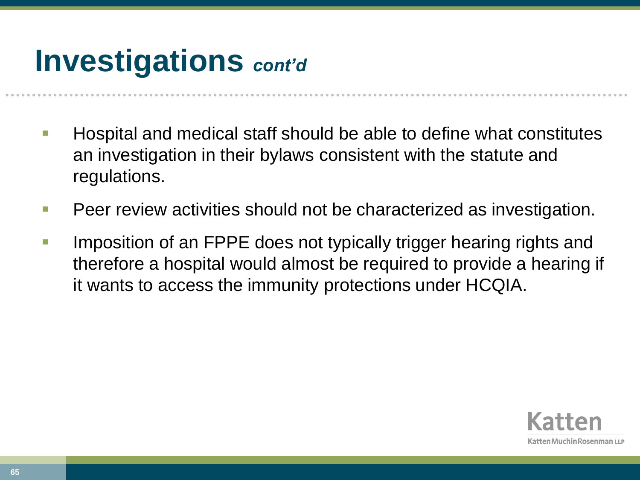## **Investigations** *cont'd*

- $\blacksquare$  Hospital and medical staff should be able to define what constitutes an investigation in their bylaws consistent with the statute and regulations.
- **Peer review activities should not be characterized as investigation.**
- **IMPOSITION OF ANTEL THE STARK IS ADDED** to the UPPE does not typically trigger hearing rights and therefore a hospital would almost be required to provide a hearing if it wants to access the immunity protections under HCQIA.

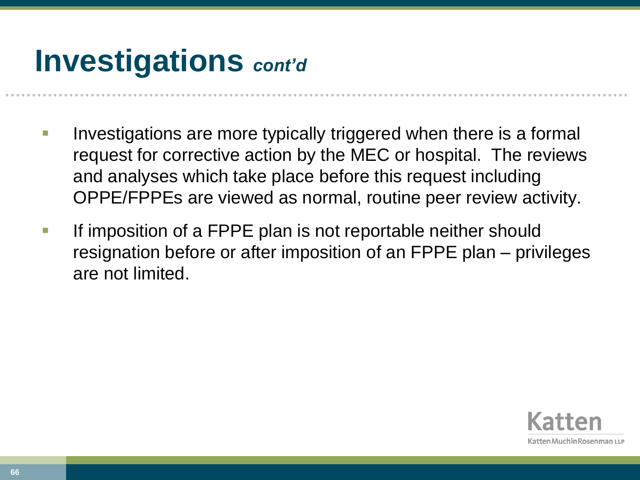## **Investigations** *cont'd*

- Investigations are more typically triggered when there is a formal request for corrective action by the MEC or hospital. The reviews and analyses which take place before this request including OPPE/FPPEs are viewed as normal, routine peer review activity.
- If imposition of a FPPE plan is not reportable neither should resignation before or after imposition of an FPPE plan – privileges are not limited.

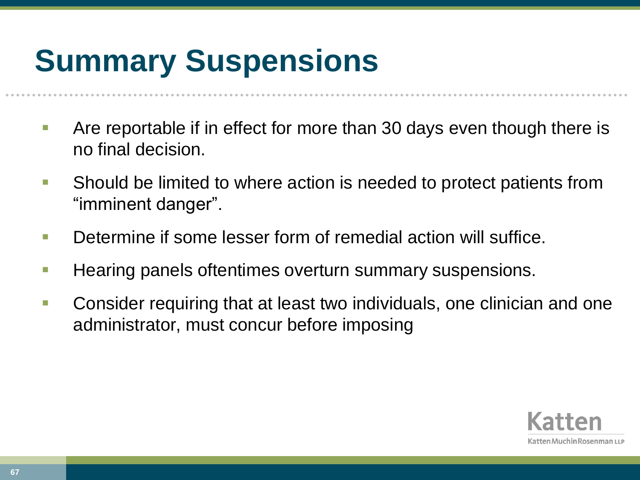# **Summary Suspensions**

- Are reportable if in effect for more than 30 days even though there is no final decision.
- **Should be limited to where action is needed to protect patients from** "imminent danger".
- **Determine if some lesser form of remedial action will suffice.**
- **Hearing panels oftentimes overturn summary suspensions.**
- Consider requiring that at least two individuals, one clinician and one administrator, must concur before imposing

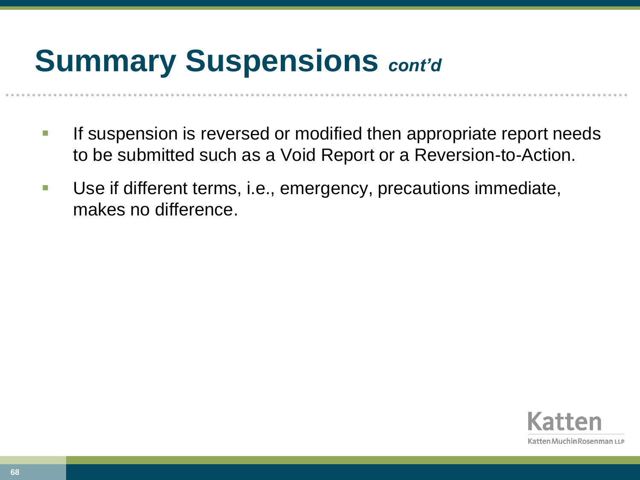## **Summary Suspensions** *cont'd*

- **If suspension is reversed or modified then appropriate report needs** to be submitted such as a Void Report or a Reversion-to-Action.
- Use if different terms, i.e., emergency, precautions immediate, makes no difference.

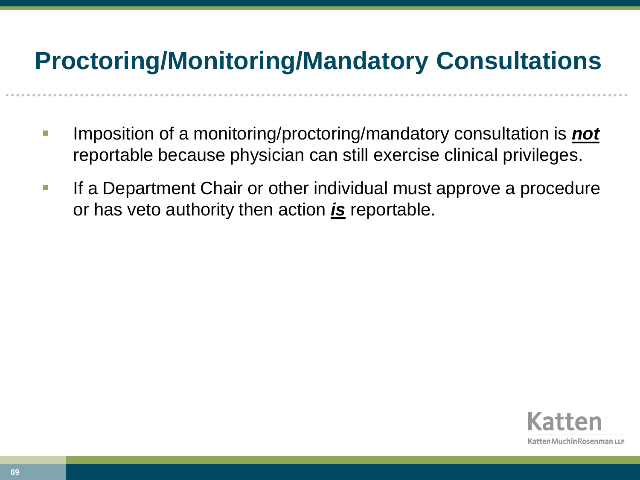#### **Proctoring/Monitoring/Mandatory Consultations**

- Imposition of a monitoring/proctoring/mandatory consultation is *not* reportable because physician can still exercise clinical privileges.
- **If a Department Chair or other individual must approve a procedure** or has veto authority then action *is* reportable.

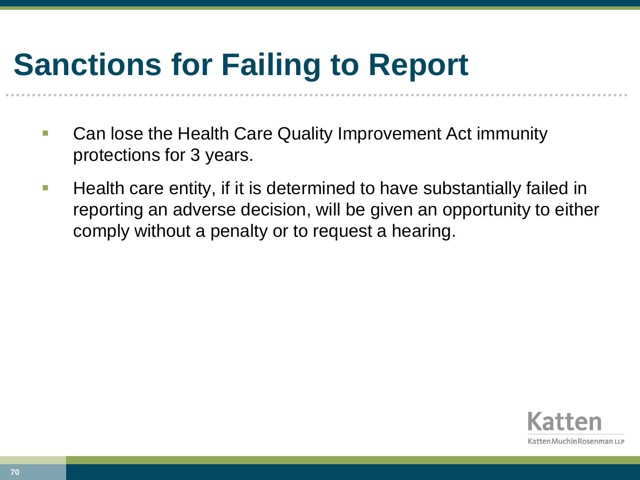# **Sanctions for Failing to Report**

- Can lose the Health Care Quality Improvement Act immunity protections for 3 years.
- **Health care entity, if it is determined to have substantially failed in** reporting an adverse decision, will be given an opportunity to either comply without a penalty or to request a hearing.

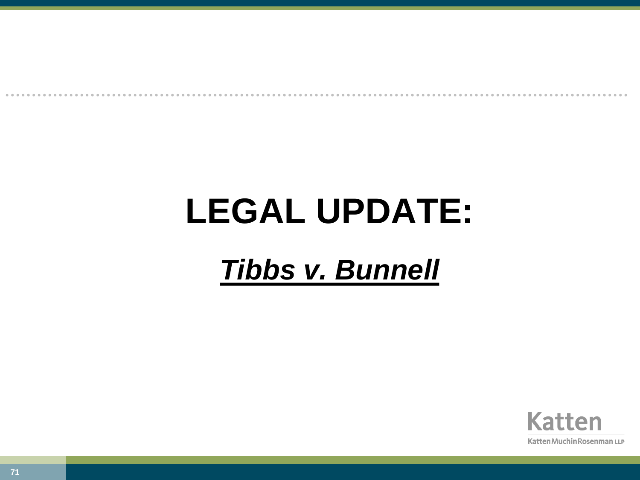# **LEGAL UPDATE:**

#### *Tibbs v. Bunnell*

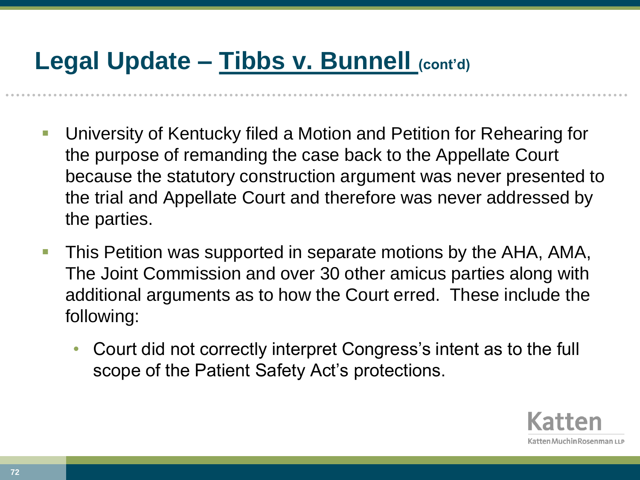#### **Legal Update – Tibbs v. Bunnell (cont'd)**

- University of Kentucky filed a Motion and Petition for Rehearing for the purpose of remanding the case back to the Appellate Court because the statutory construction argument was never presented to the trial and Appellate Court and therefore was never addressed by the parties.
- This Petition was supported in separate motions by the AHA, AMA, The Joint Commission and over 30 other amicus parties along with additional arguments as to how the Court erred. These include the following:
	- Court did not correctly interpret Congress's intent as to the full scope of the Patient Safety Act's protections.

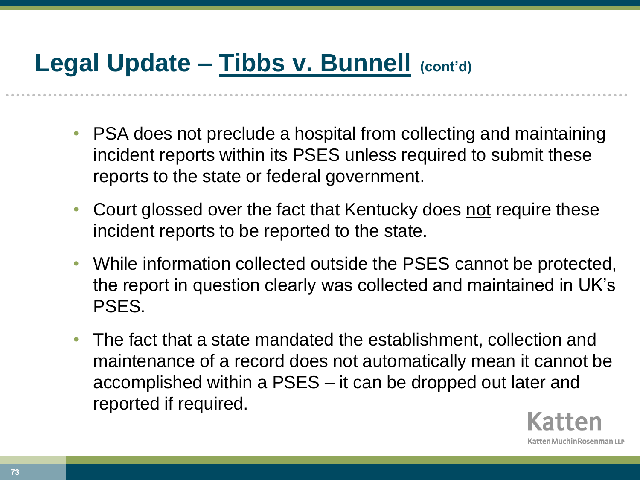- PSA does not preclude a hospital from collecting and maintaining incident reports within its PSES unless required to submit these reports to the state or federal government.
- Court glossed over the fact that Kentucky does not require these incident reports to be reported to the state.
- While information collected outside the PSES cannot be protected, the report in question clearly was collected and maintained in UK's PSES.
- The fact that a state mandated the establishment, collection and maintenance of a record does not automatically mean it cannot be accomplished within a PSES – it can be dropped out later and reported if required.

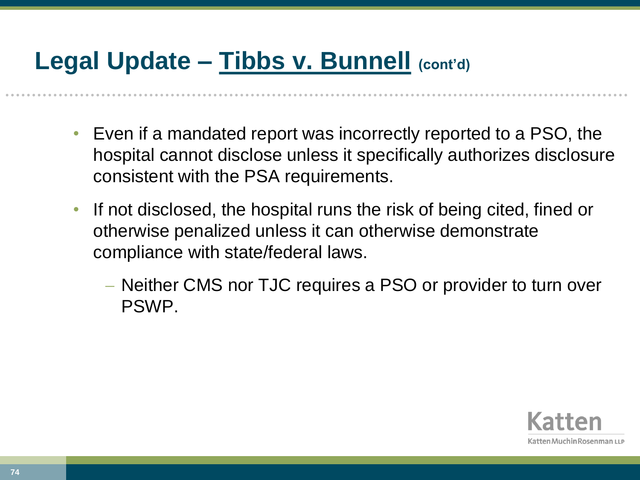- Even if a mandated report was incorrectly reported to a PSO, the hospital cannot disclose unless it specifically authorizes disclosure consistent with the PSA requirements.
- If not disclosed, the hospital runs the risk of being cited, fined or otherwise penalized unless it can otherwise demonstrate compliance with state/federal laws.
	- Neither CMS nor TJC requires a PSO or provider to turn over PSWP.

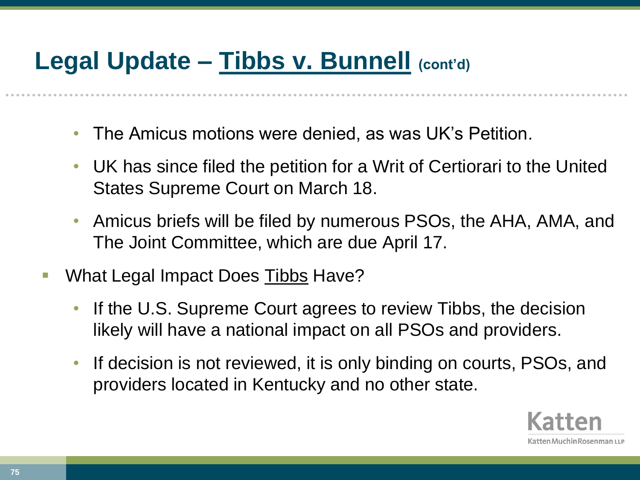- The Amicus motions were denied, as was UK's Petition.
- UK has since filed the petition for a Writ of Certiorari to the United States Supreme Court on March 18.
- Amicus briefs will be filed by numerous PSOs, the AHA, AMA, and The Joint Committee, which are due April 17.
- What Legal Impact Does Tibbs Have?
	- If the U.S. Supreme Court agrees to review Tibbs, the decision likely will have a national impact on all PSOs and providers.
	- If decision is not reviewed, it is only binding on courts, PSOs, and providers located in Kentucky and no other state.

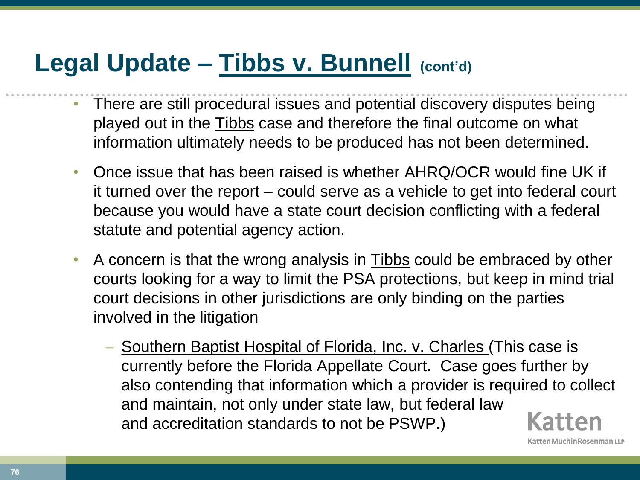- There are still procedural issues and potential discovery disputes being played out in the Tibbs case and therefore the final outcome on what information ultimately needs to be produced has not been determined.
- Once issue that has been raised is whether AHRQ/OCR would fine UK if it turned over the report – could serve as a vehicle to get into federal court because you would have a state court decision conflicting with a federal statute and potential agency action.
- A concern is that the wrong analysis in Tibbs could be embraced by other courts looking for a way to limit the PSA protections, but keep in mind trial court decisions in other jurisdictions are only binding on the parties involved in the litigation
	- Southern Baptist Hospital of Florida, Inc. v. Charles (This case is currently before the Florida Appellate Court. Case goes further by also contending that information which a provider is required to collect and maintain, not only under state law, but federal law and accreditation standards to not be PSWP.)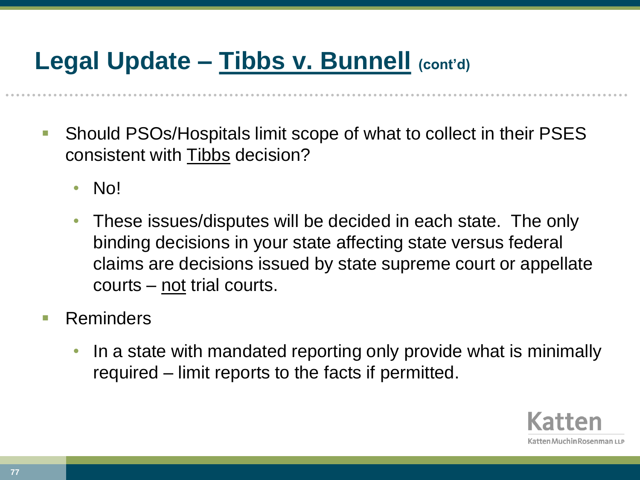- Should PSOs/Hospitals limit scope of what to collect in their PSES consistent with Tibbs decision?
	- No!
	- These issues/disputes will be decided in each state. The only binding decisions in your state affecting state versus federal claims are decisions issued by state supreme court or appellate courts – not trial courts.
- **Reminders** 
	- In a state with mandated reporting only provide what is minimally required – limit reports to the facts if permitted.